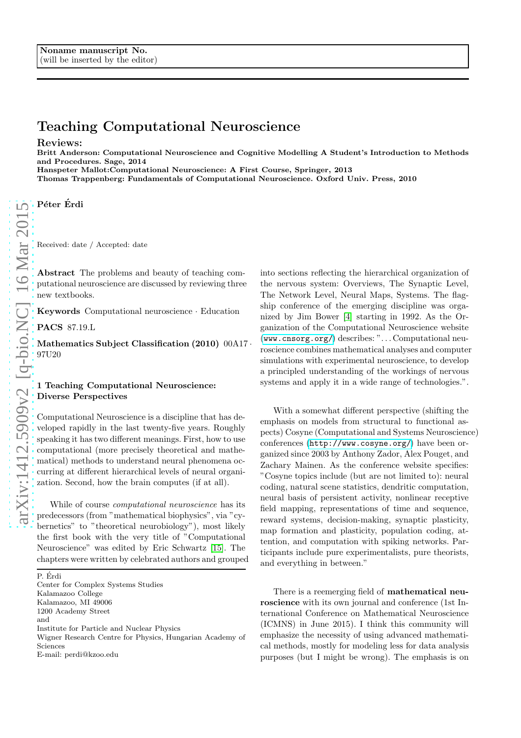# Teaching Computational Neuroscience

#### Reviews:

Britt Anderson: Computational Neuroscience and Cognitive Modelling A Student's Introduction to Methods and Procedures. Sage, 2014

Hanspeter Mallot:Computational Neuroscience: A First Course, Springer, 2013

Thomas Trappenberg: Fundamentals of Computational Neuroscience. Oxford Univ. Press, 2010

Received: date / Accepted: date

Abstract The problems and beauty of teaching computational neuroscience are discussed by reviewing three new textbooks.

Keywords Computational neuroscience · Education

PACS 87.19.L

Mathematics Subject Classification (2010) 00A17 · 97U20

## 1 Teaching Computational Neuroscience: Diverse Perspectives

Computational Neuroscience is a discipline that has developed rapidly in the last twenty-five years. Roughly speaking it has two different meanings. First, how to use computational (more precisely theoretical and mathematical) methods to understand neural phenomena occurring at different hierarchical levels of neural organization. Second, how the brain computes (if at all).

While of course *computational neuroscience* has its predecessors (from "mathematical biophysics", via "cybernetics" to "theoretical neurobiology"), most likely the first book with the very title of "Computational Neuroscience" was edited by Eric Schwartz [\[15\]](#page-7-0). The chapters were written by celebrated authors and grouped

Kalamazoo College

Kalamazoo, MI 49006

1200 Academy Street

and

into sections reflecting the hierarchical organization of the nervous system: Overviews, The Synaptic Level, The Network Level, Neural Maps, Systems. The flagship conference of the emerging discipline was organized by Jim Bower [\[4\]](#page-7-1) starting in 1992. As the Organization of the Computational Neuroscience website (<www.cnsorg.org/>) describes: ". . . Computational neuroscience combines mathematical analyses and computer simulations with experimental neuroscience, to develop a principled understanding of the workings of nervous systems and apply it in a wide range of technologies.".

With a somewhat different perspective (shifting the emphasis on models from structural to functional aspects) Cosyne (Computational and Systems Neuroscience) conferences (<http://www.cosyne.org/>) have been organized since 2003 by Anthony Zador, Alex Pouget, and Zachary Mainen. As the conference website specifies: "Cosyne topics include (but are not limited to): neural coding, natural scene statistics, dendritic computation, neural basis of persistent activity, nonlinear receptive field mapping, representations of time and sequence, reward systems, decision-making, synaptic plasticity, map formation and plasticity, population coding, attention, and computation with spiking networks. Participants include pure experimentalists, pure theorists, and everything in between."

There is a reemerging field of mathematical neuroscience with its own journal and conference (1st International Conference on Mathematical Neuroscience (ICMNS) in June 2015). I think this community will emphasize the necessity of using advanced mathematical methods, mostly for modeling less for data analysis purposes (but I might be wrong). The emphasis is on

P. Erdi ´

Center for Complex Systems Studies

Institute for Particle and Nuclear Physics

Wigner Research Centre for Physics, Hungarian Academy of Sciences

E-mail: perdi@kzoo.edu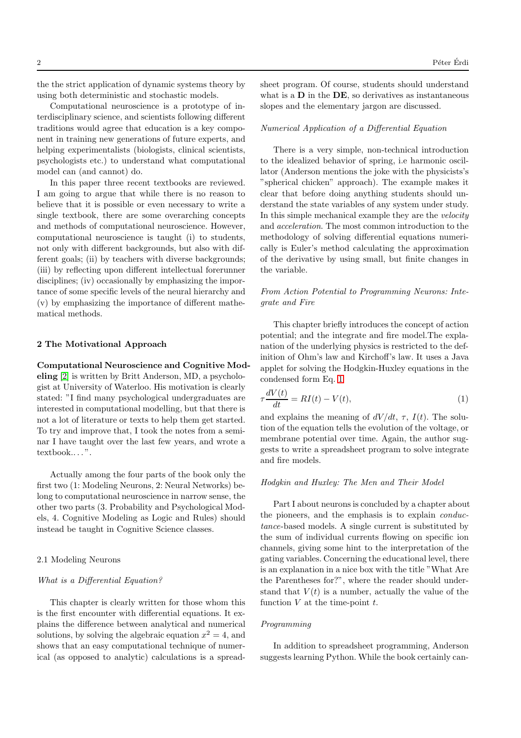the the strict application of dynamic systems theory by using both deterministic and stochastic models.

Computational neuroscience is a prototype of interdisciplinary science, and scientists following different traditions would agree that education is a key component in training new generations of future experts, and helping experimentalists (biologists, clinical scientists, psychologists etc.) to understand what computational model can (and cannot) do.

In this paper three recent textbooks are reviewed. I am going to argue that while there is no reason to believe that it is possible or even necessary to write a single textbook, there are some overarching concepts and methods of computational neuroscience. However, computational neuroscience is taught (i) to students, not only with different backgrounds, but also with different goals; (ii) by teachers with diverse backgrounds; (iii) by reflecting upon different intellectual forerunner disciplines; (iv) occasionally by emphasizing the importance of some specific levels of the neural hierarchy and (v) by emphasizing the importance of different mathematical methods.

## 2 The Motivational Approach

Computational Neuroscience and Cognitive Modeling [\[2\]](#page-7-2) is written by Britt Anderson, MD, a psychologist at University of Waterloo. His motivation is clearly stated: "I find many psychological undergraduates are interested in computational modelling, but that there is not a lot of literature or texts to help them get started. To try and improve that, I took the notes from a seminar I have taught over the last few years, and wrote a textbook.. . . ".

Actually among the four parts of the book only the first two (1: Modeling Neurons, 2: Neural Networks) belong to computational neuroscience in narrow sense, the other two parts (3. Probability and Psychological Models, 4. Cognitive Modeling as Logic and Rules) should instead be taught in Cognitive Science classes.

## 2.1 Modeling Neurons

## What is a Differential Equation?

This chapter is clearly written for those whom this is the first encounter with differential equations. It explains the difference between analytical and numerical solutions, by solving the algebraic equation  $x^2 = 4$ , and shows that an easy computational technique of numerical (as opposed to analytic) calculations is a spreadsheet program. Of course, students should understand what is a  $\bf{D}$  in the  $\bf{DE}$ , so derivatives as instantaneous slopes and the elementary jargon are discussed.

## Numerical Application of a Differential Equation

There is a very simple, non-technical introduction to the idealized behavior of spring, i.e harmonic oscillator (Anderson mentions the joke with the physicists's "spherical chicken" approach). The example makes it clear that before doing anything students should understand the state variables of any system under study. In this simple mechanical example they are the velocity and acceleration. The most common introduction to the methodology of solving differential equations numerically is Euler's method calculating the approximation of the derivative by using small, but finite changes in the variable.

## From Action Potential to Programming Neurons: Integrate and Fire

This chapter briefly introduces the concept of action potential; and the integrate and fire model.The explanation of the underlying physics is restricted to the definition of Ohm's law and Kirchoff's law. It uses a Java applet for solving the Hodgkin-Huxley equations in the condensed form Eq. [1](#page-1-0)

<span id="page-1-0"></span>
$$
\tau \frac{dV(t)}{dt} = RI(t) - V(t),\tag{1}
$$

and explains the meaning of  $dV/dt$ ,  $\tau$ ,  $I(t)$ . The solution of the equation tells the evolution of the voltage, or membrane potential over time. Again, the author suggests to write a spreadsheet program to solve integrate and fire models.

## Hodgkin and Huxley: The Men and Their Model

Part I about neurons is concluded by a chapter about the pioneers, and the emphasis is to explain conductance-based models. A single current is substituted by the sum of individual currents flowing on specific ion channels, giving some hint to the interpretation of the gating variables. Concerning the educational level, there is an explanation in a nice box with the title "What Are the Parentheses for?", where the reader should understand that  $V(t)$  is a number, actually the value of the function  $V$  at the time-point  $t$ .

#### Programming

In addition to spreadsheet programming, Anderson suggests learning Python. While the book certainly can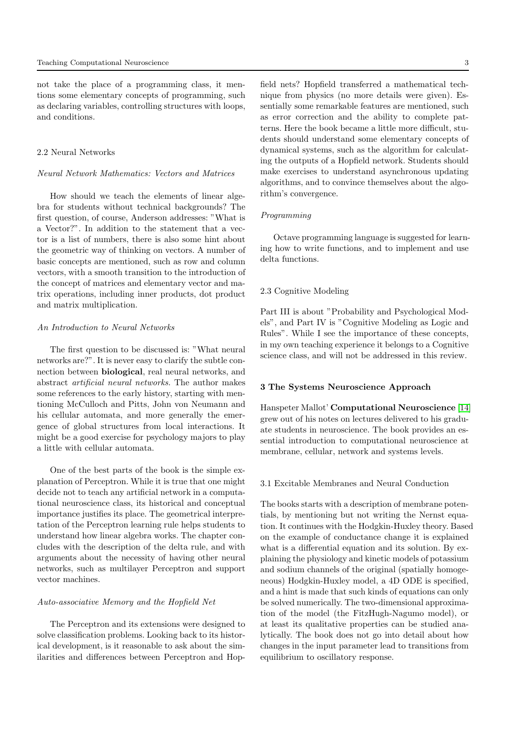not take the place of a programming class, it mentions some elementary concepts of programming, such as declaring variables, controlling structures with loops, and conditions.

#### 2.2 Neural Networks

#### Neural Network Mathematics: Vectors and Matrices

How should we teach the elements of linear algebra for students without technical backgrounds? The first question, of course, Anderson addresses: "What is a Vector?". In addition to the statement that a vector is a list of numbers, there is also some hint about the geometric way of thinking on vectors. A number of basic concepts are mentioned, such as row and column vectors, with a smooth transition to the introduction of the concept of matrices and elementary vector and matrix operations, including inner products, dot product and matrix multiplication.

## An Introduction to Neural Networks

The first question to be discussed is: "What neural networks are?". It is never easy to clarify the subtle connection between biological, real neural networks, and abstract artificial neural networks. The author makes some references to the early history, starting with mentioning McCulloch and Pitts, John von Neumann and his cellular automata, and more generally the emergence of global structures from local interactions. It might be a good exercise for psychology majors to play a little with cellular automata.

One of the best parts of the book is the simple explanation of Perceptron. While it is true that one might decide not to teach any artificial network in a computational neuroscience class, its historical and conceptual importance justifies its place. The geometrical interpretation of the Perceptron learning rule helps students to understand how linear algebra works. The chapter concludes with the description of the delta rule, and with arguments about the necessity of having other neural networks, such as multilayer Perceptron and support vector machines.

## Auto-associative Memory and the Hopfield Net

The Perceptron and its extensions were designed to solve classification problems. Looking back to its historical development, is it reasonable to ask about the similarities and differences between Perceptron and Hopfield nets? Hopfield transferred a mathematical technique from physics (no more details were given). Essentially some remarkable features are mentioned, such as error correction and the ability to complete patterns. Here the book became a little more difficult, students should understand some elementary concepts of dynamical systems, such as the algorithm for calculating the outputs of a Hopfield network. Students should make exercises to understand asynchronous updating algorithms, and to convince themselves about the algorithm's convergence.

#### Programming

Octave programming language is suggested for learning how to write functions, and to implement and use delta functions.

## 2.3 Cognitive Modeling

Part III is about "Probability and Psychological Models", and Part IV is "Cognitive Modeling as Logic and Rules". While I see the importance of these concepts, in my own teaching experience it belongs to a Cognitive science class, and will not be addressed in this review.

## 3 The Systems Neuroscience Approach

Hanspeter Mallot' Computational Neuroscience [\[14\]](#page-7-3) grew out of his notes on lectures delivered to his graduate students in neuroscience. The book provides an essential introduction to computational neuroscience at membrane, cellular, network and systems levels.

## 3.1 Excitable Membranes and Neural Conduction

The books starts with a description of membrane potentials, by mentioning but not writing the Nernst equation. It continues with the Hodgkin-Huxley theory. Based on the example of conductance change it is explained what is a differential equation and its solution. By explaining the physiology and kinetic models of potassium and sodium channels of the original (spatially homogeneous) Hodgkin-Huxley model, a 4D ODE is specified, and a hint is made that such kinds of equations can only be solved numerically. The two-dimensional approximation of the model (the FitzHugh-Nagumo model), or at least its qualitative properties can be studied analytically. The book does not go into detail about how changes in the input parameter lead to transitions from equilibrium to oscillatory response.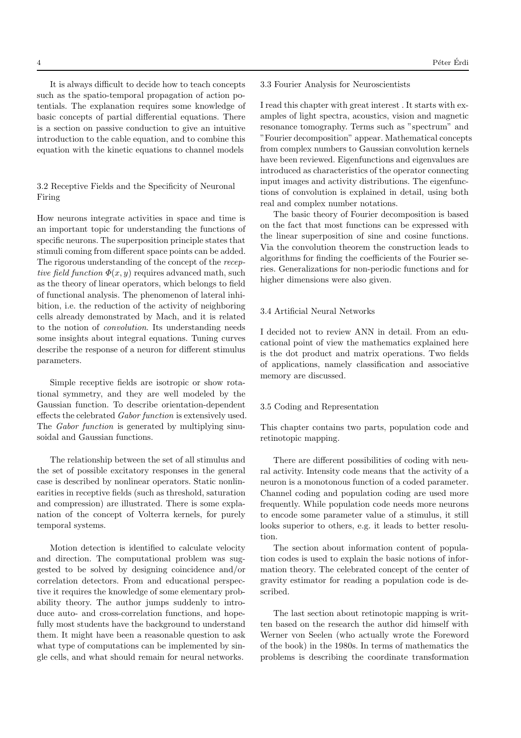It is always difficult to decide how to teach concepts such as the spatio-temporal propagation of action potentials. The explanation requires some knowledge of basic concepts of partial differential equations. There is a section on passive conduction to give an intuitive introduction to the cable equation, and to combine this equation with the kinetic equations to channel models

# 3.2 Receptive Fields and the Specificity of Neuronal Firing

How neurons integrate activities in space and time is an important topic for understanding the functions of specific neurons. The superposition principle states that stimuli coming from different space points can be added. The rigorous understanding of the concept of the receptive field function  $\Phi(x, y)$  requires advanced math, such as the theory of linear operators, which belongs to field of functional analysis. The phenomenon of lateral inhibition, i.e. the reduction of the activity of neighboring cells already demonstrated by Mach, and it is related to the notion of convolution. Its understanding needs some insights about integral equations. Tuning curves describe the response of a neuron for different stimulus parameters.

Simple receptive fields are isotropic or show rotational symmetry, and they are well modeled by the Gaussian function. To describe orientation-dependent effects the celebrated Gabor function is extensively used. The *Gabor function* is generated by multiplying sinusoidal and Gaussian functions.

The relationship between the set of all stimulus and the set of possible excitatory responses in the general case is described by nonlinear operators. Static nonlinearities in receptive fields (such as threshold, saturation and compression) are illustrated. There is some explanation of the concept of Volterra kernels, for purely temporal systems.

Motion detection is identified to calculate velocity and direction. The computational problem was suggested to be solved by designing coincidence and/or correlation detectors. From and educational perspective it requires the knowledge of some elementary probability theory. The author jumps suddenly to introduce auto- and cross-correlation functions, and hopefully most students have the background to understand them. It might have been a reasonable question to ask what type of computations can be implemented by single cells, and what should remain for neural networks.

#### 3.3 Fourier Analysis for Neuroscientists

I read this chapter with great interest . It starts with examples of light spectra, acoustics, vision and magnetic resonance tomography. Terms such as "spectrum" and "Fourier decomposition" appear. Mathematical concepts from complex numbers to Gaussian convolution kernels have been reviewed. Eigenfunctions and eigenvalues are introduced as characteristics of the operator connecting input images and activity distributions. The eigenfunctions of convolution is explained in detail, using both real and complex number notations.

The basic theory of Fourier decomposition is based on the fact that most functions can be expressed with the linear superposition of sine and cosine functions. Via the convolution theorem the construction leads to algorithms for finding the coefficients of the Fourier series. Generalizations for non-periodic functions and for higher dimensions were also given.

## 3.4 Artificial Neural Networks

I decided not to review ANN in detail. From an educational point of view the mathematics explained here is the dot product and matrix operations. Two fields of applications, namely classification and associative memory are discussed.

#### 3.5 Coding and Representation

This chapter contains two parts, population code and retinotopic mapping.

There are different possibilities of coding with neural activity. Intensity code means that the activity of a neuron is a monotonous function of a coded parameter. Channel coding and population coding are used more frequently. While population code needs more neurons to encode some parameter value of a stimulus, it still looks superior to others, e.g. it leads to better resolution.

The section about information content of population codes is used to explain the basic notions of information theory. The celebrated concept of the center of gravity estimator for reading a population code is described.

The last section about retinotopic mapping is written based on the research the author did himself with Werner von Seelen (who actually wrote the Foreword of the book) in the 1980s. In terms of mathematics the problems is describing the coordinate transformation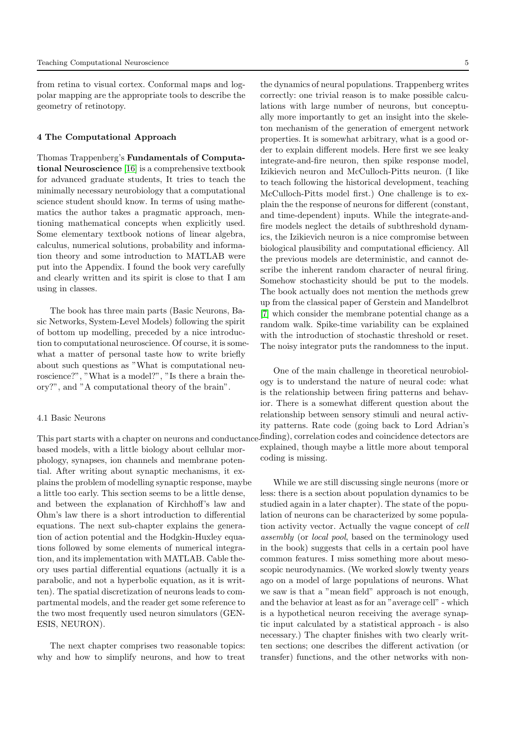from retina to visual cortex. Conformal maps and logpolar mapping are the appropriate tools to describe the geometry of retinotopy.

#### 4 The Computational Approach

Thomas Trappenberg's Fundamentals of Computational Neuroscience [\[16\]](#page-7-4) is a comprehensive textbook for advanced graduate students, It tries to teach the minimally necessary neurobiology that a computational science student should know. In terms of using mathematics the author takes a pragmatic approach, mentioning mathematical concepts when explicitly used. Some elementary textbook notions of linear algebra, calculus, numerical solutions, probability and information theory and some introduction to MATLAB were put into the Appendix. I found the book very carefully and clearly written and its spirit is close to that I am using in classes.

The book has three main parts (Basic Neurons, Basic Networks, System-Level Models) following the spirit of bottom up modelling, preceded by a nice introduction to computational neuroscience. Of course, it is somewhat a matter of personal taste how to write briefly about such questions as "What is computational neuroscience?", "What is a model?", "Is there a brain theory?", and "A computational theory of the brain".

## 4.1 Basic Neurons

based models, with a little biology about cellular morphology, synapses, ion channels and membrane potential. After writing about synaptic mechanisms, it explains the problem of modelling synaptic response, maybe a little too early. This section seems to be a little dense, and between the explanation of Kirchhoff's law and Ohm's law there is a short introduction to differential equations. The next sub-chapter explains the generation of action potential and the Hodgkin-Huxley equations followed by some elements of numerical integration, and its implementation with MATLAB. Cable theory uses partial differential equations (actually it is a parabolic, and not a hyperbolic equation, as it is written). The spatial discretization of neurons leads to compartmental models, and the reader get some reference to the two most frequently used neuron simulators (GEN-ESIS, NEURON).

The next chapter comprises two reasonable topics: why and how to simplify neurons, and how to treat the dynamics of neural populations. Trappenberg writes correctly: one trivial reason is to make possible calculations with large number of neurons, but conceptually more importantly to get an insight into the skeleton mechanism of the generation of emergent network properties. It is somewhat arbitrary, what is a good order to explain different models. Here first we see leaky integrate-and-fire neuron, then spike response model, Izikievich neuron and McCulloch-Pitts neuron. (I like to teach following the historical development, teaching McCulloch-Pitts model first.) One challenge is to explain the the response of neurons for different (constant, and time-dependent) inputs. While the integrate-andfire models neglect the details of subthreshold dynamics, the Izikievich neuron is a nice compromise between biological plausibility and computational efficiency. All the previous models are deterministic, and cannot describe the inherent random character of neural firing. Somehow stochasticity should be put to the models. The book actually does not mention the methods grew up from the classical paper of Gerstein and Mandelbrot [\[7\]](#page-7-5) which consider the membrane potential change as a random walk. Spike-time variability can be explained with the introduction of stochastic threshold or reset. The noisy integrator puts the randomness to the input.

This part starts with a chapter on neurons and conductance finding), correlation codes and coincidence detectors are One of the main challenge in theoretical neurobiology is to understand the nature of neural code: what is the relationship between firing patterns and behavior. There is a somewhat different question about the relationship between sensory stimuli and neural activity patterns. Rate code (going back to Lord Adrian's explained, though maybe a little more about temporal coding is missing.

> While we are still discussing single neurons (more or less: there is a section about population dynamics to be studied again in a later chapter). The state of the population of neurons can be characterized by some population activity vector. Actually the vague concept of cell assembly (or local pool, based on the terminology used in the book) suggests that cells in a certain pool have common features. I miss something more about mesoscopic neurodynamics. (We worked slowly twenty years ago on a model of large populations of neurons. What we saw is that a "mean field" approach is not enough, and the behavior at least as for an "average cell" - which is a hypothetical neuron receiving the average synaptic input calculated by a statistical approach - is also necessary.) The chapter finishes with two clearly written sections; one describes the different activation (or transfer) functions, and the other networks with non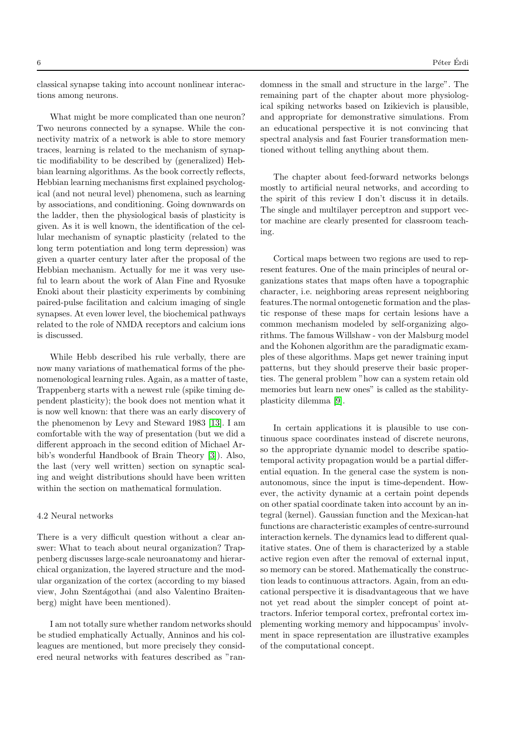classical synapse taking into account nonlinear interactions among neurons.

What might be more complicated than one neuron? Two neurons connected by a synapse. While the connectivity matrix of a network is able to store memory traces, learning is related to the mechanism of synaptic modifiability to be described by (generalized) Hebbian learning algorithms. As the book correctly reflects, Hebbian learning mechanisms first explained psychological (and not neural level) phenomena, such as learning by associations, and conditioning. Going downwards on the ladder, then the physiological basis of plasticity is given. As it is well known, the identification of the cellular mechanism of synaptic plasticity (related to the long term potentiation and long term depression) was given a quarter century later after the proposal of the Hebbian mechanism. Actually for me it was very useful to learn about the work of Alan Fine and Ryosuke Enoki about their plasticity experiments by combining paired-pulse facilitation and calcium imaging of single synapses. At even lower level, the biochemical pathways related to the role of NMDA receptors and calcium ions is discussed.

While Hebb described his rule verbally, there are now many variations of mathematical forms of the phenomenological learning rules. Again, as a matter of taste, Trappenberg starts with a newest rule (spike timing dependent plasticity); the book does not mention what it is now well known: that there was an early discovery of the phenomenon by Levy and Steward 1983 [\[13\]](#page-7-6). I am comfortable with the way of presentation (but we did a different approach in the second edition of Michael Arbib's wonderful Handbook of Brain Theory [\[3\]](#page-7-7)). Also, the last (very well written) section on synaptic scaling and weight distributions should have been written within the section on mathematical formulation.

#### 4.2 Neural networks

There is a very difficult question without a clear answer: What to teach about neural organization? Trappenberg discusses large-scale neuroanatomy and hierarchical organization, the layered structure and the modular organization of the cortex (according to my biased view, John Szentágothai (and also Valentino Braitenberg) might have been mentioned).

I am not totally sure whether random networks should be studied emphatically Actually, Anninos and his colleagues are mentioned, but more precisely they considered neural networks with features described as "randomness in the small and structure in the large". The remaining part of the chapter about more physiological spiking networks based on Izikievich is plausible, and appropriate for demonstrative simulations. From an educational perspective it is not convincing that spectral analysis and fast Fourier transformation mentioned without telling anything about them.

The chapter about feed-forward networks belongs mostly to artificial neural networks, and according to the spirit of this review I don't discuss it in details. The single and multilayer perceptron and support vector machine are clearly presented for classroom teaching.

Cortical maps between two regions are used to represent features. One of the main principles of neural organizations states that maps often have a topographic character, i.e. neighboring areas represent neighboring features.The normal ontogenetic formation and the plastic response of these maps for certain lesions have a common mechanism modeled by self-organizing algorithms. The famous Willshaw - von der Malsburg model and the Kohonen algorithm are the paradigmatic examples of these algorithms. Maps get newer training input patterns, but they should preserve their basic properties. The general problem "how can a system retain old memories but learn new ones" is called as the stabilityplasticity dilemma [\[9\]](#page-7-8).

In certain applications it is plausible to use continuous space coordinates instead of discrete neurons, so the appropriate dynamic model to describe spatiotemporal activity propagation would be a partial differential equation. In the general case the system is nonautonomous, since the input is time-dependent. However, the activity dynamic at a certain point depends on other spatial coordinate taken into account by an integral (kernel). Gaussian function and the Mexican-hat functions are characteristic examples of centre-surround interaction kernels. The dynamics lead to different qualitative states. One of them is characterized by a stable active region even after the removal of external input, so memory can be stored. Mathematically the construction leads to continuous attractors. Again, from an educational perspective it is disadvantageous that we have not yet read about the simpler concept of point attractors. Inferior temporal cortex, prefrontal cortex implementing working memory and hippocampus' involvment in space representation are illustrative examples of the computational concept.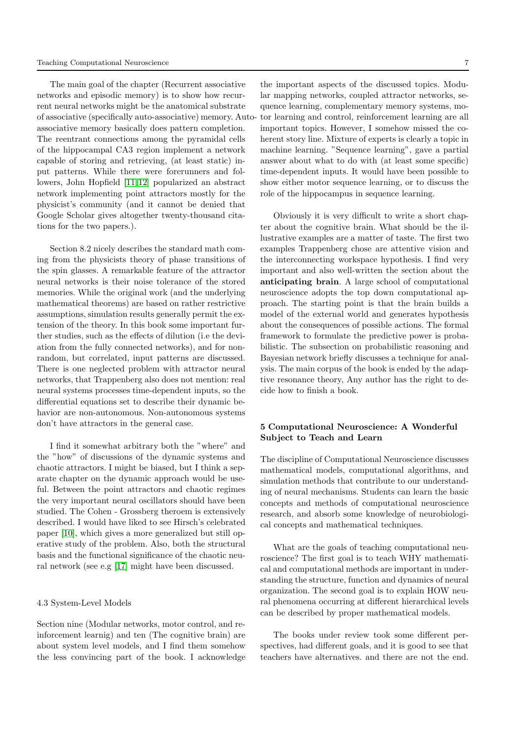The main goal of the chapter (Recurrent associative networks and episodic memory) is to show how recurrent neural networks might be the anatomical substrate of associative (specifically auto-associative) memory. Autoassociative memory basically does pattern completion. The reentrant connections among the pyramidal cells of the hippocampal CA3 region implement a network capable of storing and retrieving, (at least static) input patterns. While there were forerunners and followers, John Hopfield [\[11,](#page-7-9)[12\]](#page-7-10) popularized an abstract network implementing point attractors mostly for the physicist's community (and it cannot be denied that Google Scholar gives altogether twenty-thousand citations for the two papers.).

Section 8.2 nicely describes the standard math coming from the physicists theory of phase transitions of the spin glasses. A remarkable feature of the attractor neural networks is their noise tolerance of the stored memories. While the original work (and the underlying mathematical theorems) are based on rather restrictive assumptions, simulation results generally permit the extension of the theory. In this book some important further studies, such as the effects of dilution (i.e the deviation from the fully connected networks), and for nonrandom, but correlated, input patterns are discussed. There is one neglected problem with attractor neural networks, that Trappenberg also does not mention: real neural systems processes time-dependent inputs, so the differential equations set to describe their dynamic behavior are non-autonomous. Non-autonomous systems don't have attractors in the general case.

I find it somewhat arbitrary both the "where" and the "how" of discussions of the dynamic systems and chaotic attractors. I might be biased, but I think a separate chapter on the dynamic approach would be useful. Between the point attractors and chaotic regimes the very important neural oscillators should have been studied. The Cohen - Grossberg theroem is extensively described. I would have liked to see Hirsch's celebrated paper [\[10\]](#page-7-11), which gives a more generalized but still operative study of the problem. Also, both the structural basis and the functional significance of the chaotic neural network (see e.g [\[17\]](#page-7-12) might have been discussed.

## 4.3 System-Level Models

Section nine (Modular networks, motor control, and reinforcement learnig) and ten (The cognitive brain) are about system level models, and I find them somehow the less convincing part of the book. I acknowledge

the important aspects of the discussed topics. Modular mapping networks, coupled attractor networks, sequence learning, complementary memory systems, motor learning and control, reinforcement learning are all important topics. However, I somehow missed the coherent story line. Mixture of experts is clearly a topic in machine learning. "Sequence learning", gave a partial answer about what to do with (at least some specific) time-dependent inputs. It would have been possible to show either motor sequence learning, or to discuss the role of the hippocampus in sequence learning.

Obviously it is very difficult to write a short chapter about the cognitive brain. What should be the illustrative examples are a matter of taste. The first two examples Trappenberg chose are attentive vision and the interconnecting workspace hypothesis. I find very important and also well-written the section about the anticipating brain. A large school of computational neuroscience adopts the top down computational approach. The starting point is that the brain builds a model of the external world and generates hypothesis about the consequences of possible actions. The formal framework to formulate the predictive power is probabilistic. The subsection on probabilistic reasoning and Bayesian network briefly discusses a technique for analysis. The main corpus of the book is ended by the adaptive resonance theory, Any author has the right to decide how to finish a book.

# 5 Computational Neuroscience: A Wonderful Subject to Teach and Learn

The discipline of Computational Neuroscience discusses mathematical models, computational algorithms, and simulation methods that contribute to our understanding of neural mechanisms. Students can learn the basic concepts and methods of computational neuroscience research, and absorb some knowledge of neurobiological concepts and mathematical techniques.

What are the goals of teaching computational neuroscience? The first goal is to teach WHY mathematical and computational methods are important in understanding the structure, function and dynamics of neural organization. The second goal is to explain HOW neural phenomena occurring at different hierarchical levels can be described by proper mathematical models.

The books under review took some different perspectives, had different goals, and it is good to see that teachers have alternatives. and there are not the end.